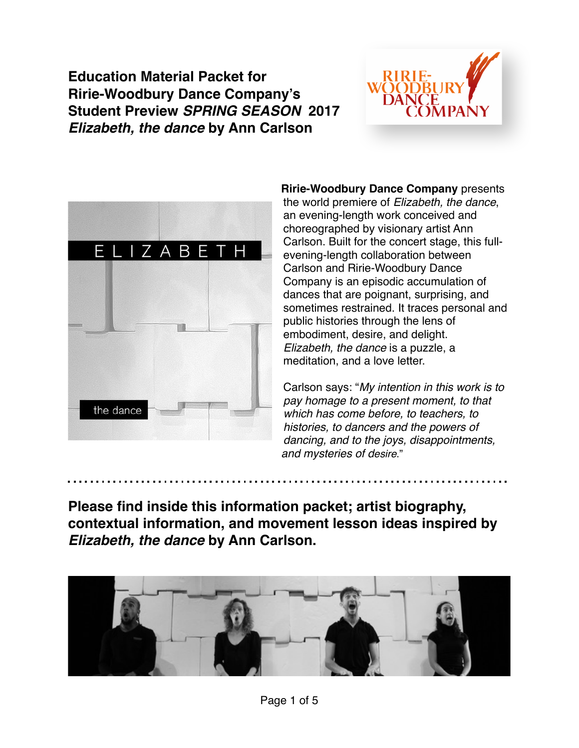# **Education Material Packet for Ririe-Woodbury Dance Company's Student Preview** *SPRING SEASON* **2017** *Elizabeth, the dance* **by Ann Carlson**





**Ririe-Woodbury Dance Company** presents the world premiere of *Elizabeth, the dance*, an evening-length work conceived and choreographed by visionary artist Ann Carlson. Built for the concert stage, this fullevening-length collaboration between Carlson and Ririe-Woodbury Dance Company is an episodic accumulation of dances that are poignant, surprising, and sometimes restrained. It traces personal and public histories through the lens of embodiment, desire, and delight. *Elizabeth, the dance* is a puzzle, a meditation, and a love letter.

Carlson says: "*My intention in this work is to pay homage to a present moment, to that which has come before, to teachers, to histories, to dancers and the powers of dancing, and to the joys, disappointments, and mysteries of desire*."

**Please find inside this information packet; artist biography, contextual information, and movement lesson ideas inspired by**  *Elizabeth, the dance* **by Ann Carlson.**

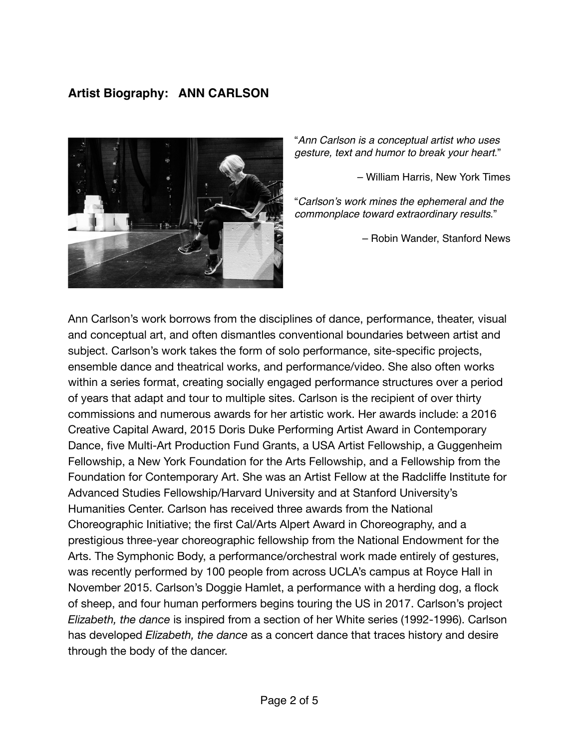# **Artist Biography: ANN CARLSON**



"*Ann Carlson is a conceptual artist who uses gesture, text and humor to break your heart*."

– William Harris, New York Times

"*Carlson's work mines the ephemeral and the commonplace toward extraordinary results*."

– Robin Wander, Stanford News

Ann Carlson's work borrows from the disciplines of dance, performance, theater, visual and conceptual art, and often dismantles conventional boundaries between artist and subject. Carlson's work takes the form of solo performance, site-specific projects, ensemble dance and theatrical works, and performance/video. She also often works within a series format, creating socially engaged performance structures over a period of years that adapt and tour to multiple sites. Carlson is the recipient of over thirty commissions and numerous awards for her artistic work. Her awards include: a 2016 Creative Capital Award, 2015 Doris Duke Performing Artist Award in Contemporary Dance, five Multi-Art Production Fund Grants, a USA Artist Fellowship, a Guggenheim Fellowship, a New York Foundation for the Arts Fellowship, and a Fellowship from the Foundation for Contemporary Art. She was an Artist Fellow at the Radcliffe Institute for Advanced Studies Fellowship/Harvard University and at Stanford University's Humanities Center. Carlson has received three awards from the National Choreographic Initiative; the first Cal/Arts Alpert Award in Choreography, and a prestigious three-year choreographic fellowship from the National Endowment for the Arts. The Symphonic Body, a performance/orchestral work made entirely of gestures, was recently performed by 100 people from across UCLA's campus at Royce Hall in November 2015. Carlson's Doggie Hamlet, a performance with a herding dog, a flock of sheep, and four human performers begins touring the US in 2017. Carlson's project *Elizabeth, the dance* is inspired from a section of her White series (1992-1996). Carlson has developed *Elizabeth, the dance* as a concert dance that traces history and desire through the body of the dancer.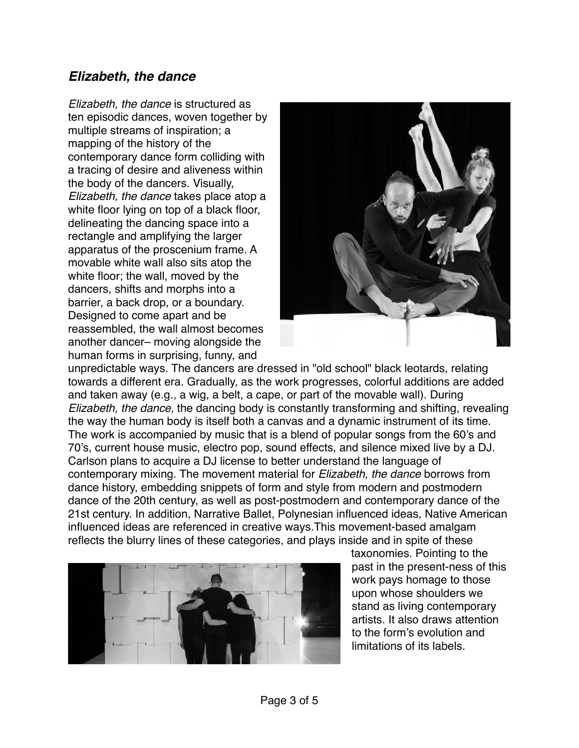### *Elizabeth, the dance*

*Elizabeth, the dance* is structured as ten episodic dances, woven together by multiple streams of inspiration; a mapping of the history of the contemporary dance form colliding with a tracing of desire and aliveness within the body of the dancers. Visually, *Elizabeth, the dance* takes place atop a white floor lying on top of a black floor, delineating the dancing space into a rectangle and amplifying the larger apparatus of the proscenium frame. A movable white wall also sits atop the white floor; the wall, moved by the dancers, shifts and morphs into a barrier, a back drop, or a boundary. Designed to come apart and be reassembled, the wall almost becomes another dancer– moving alongside the human forms in surprising, funny, and



unpredictable ways. The dancers are dressed in "old school" black leotards, relating towards a different era. Gradually, as the work progresses, colorful additions are added and taken away (e.g., a wig, a belt, a cape, or part of the movable wall). During *Elizabeth, the dance,* the dancing body is constantly transforming and shifting, revealing the way the human body is itself both a canvas and a dynamic instrument of its time. The work is accompanied by music that is a blend of popular songs from the 60's and 70's, current house music, electro pop, sound effects, and silence mixed live by a DJ. Carlson plans to acquire a DJ license to better understand the language of contemporary mixing. The movement material for *Elizabeth, the dance* borrows from dance history, embedding snippets of form and style from modern and postmodern dance of the 20th century, as well as post-postmodern and contemporary dance of the 21st century. In addition, Narrative Ballet, Polynesian influenced ideas, Native American influenced ideas are referenced in creative ways.This movement-based amalgam reflects the blurry lines of these categories, and plays inside and in spite of these



taxonomies. Pointing to the past in the present-ness of this work pays homage to those upon whose shoulders we stand as living contemporary artists. It also draws attention to the form's evolution and limitations of its labels.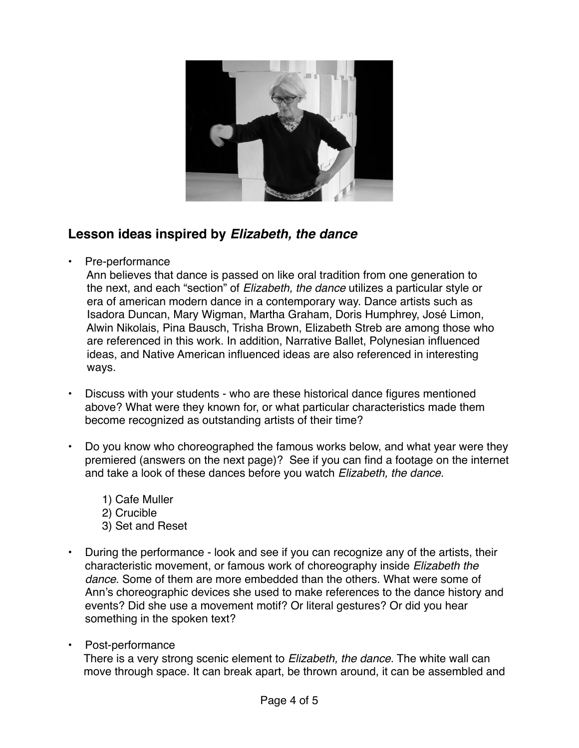

# **Lesson ideas inspired by** *Elizabeth, the dance*

• Pre-performance

 Ann believes that dance is passed on like oral tradition from one generation to the next, and each "section" of *Elizabeth, the dance* utilizes a particular style or era of american modern dance in a contemporary way. Dance artists such as Isadora Duncan, Mary Wigman, Martha Graham, Doris Humphrey, José Limon, Alwin Nikolais, Pina Bausch, Trisha Brown, Elizabeth Streb are among those who are referenced in this work. In addition, Narrative Ballet, Polynesian influenced ideas, and Native American influenced ideas are also referenced in interesting ways.

- Discuss with your students who are these historical dance figures mentioned above? What were they known for, or what particular characteristics made them become recognized as outstanding artists of their time?
- Do you know who choreographed the famous works below, and what year were they premiered (answers on the next page)? See if you can find a footage on the internet and take a look of these dances before you watch *Elizabeth, the dance*.
	- 1) Cafe Muller 2) Crucible 3) Set and Reset
- During the performance look and see if you can recognize any of the artists, their characteristic movement, or famous work of choreography inside *Elizabeth the dance*. Some of them are more embedded than the others. What were some of Ann's choreographic devices she used to make references to the dance history and events? Did she use a movement motif? Or literal gestures? Or did you hear something in the spoken text?
- Post-performance

 There is a very strong scenic element to *Elizabeth, the dance*. The white wall can move through space. It can break apart, be thrown around, it can be assembled and